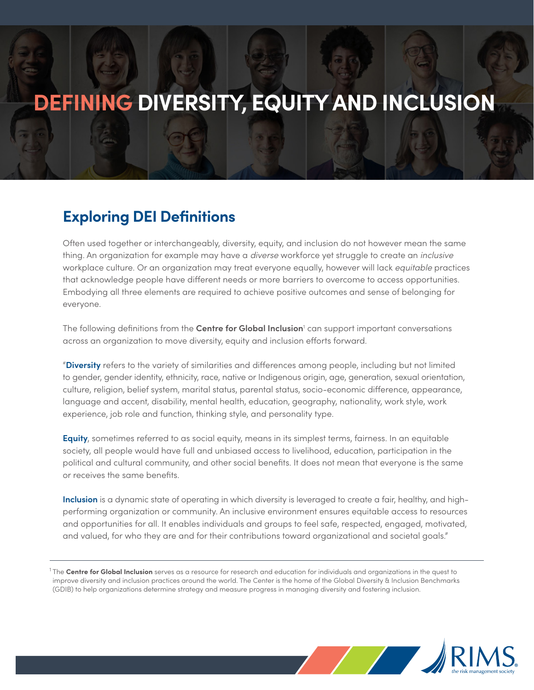# **DEFINING DIVERSITY, EQUITY AND INCLUSION**

### **Exploring DEI Definitions**

Often used together or interchangeably, diversity, equity, and inclusion do not however mean the same thing. An organization for example may have a *diverse* workforce yet struggle to create an *inclusive* workplace culture. Or an organization may treat everyone equally, however will lack *equitable* practices that acknowledge people have different needs or more barriers to overcome to access opportunities. Embodying all three elements are required to achieve positive outcomes and sense of belonging for everyone.

The following definitions from the **Centre for Global Inclusion**<sup>1</sup> can support important conversations across an organization to move diversity, equity and inclusion efforts forward.

"**Diversity** refers to the variety of similarities and differences among people, including but not limited to gender, gender identity, ethnicity, race, native or Indigenous origin, age, generation, sexual orientation, culture, religion, belief system, marital status, parental status, socio-economic difference, appearance, language and accent, disability, mental health, education, geography, nationality, work style, work experience, job role and function, thinking style, and personality type.

**Equity**, sometimes referred to as social equity, means in its simplest terms, fairness. In an equitable society, all people would have full and unbiased access to livelihood, education, participation in the political and cultural community, and other social benefits. It does not mean that everyone is the same or receives the same benefits.

**Inclusion** is a dynamic state of operating in which diversity is leveraged to create a fair, healthy, and highperforming organization or community. An inclusive environment ensures equitable access to resources and opportunities for all. It enables individuals and groups to feel safe, respected, engaged, motivated, and valued, for who they are and for their contributions toward organizational and societal goals."

<sup>1</sup>The **Centre for Global Inclusion** serves as a resource for research and education for individuals and organizations in the quest to improve diversity and inclusion practices around the world. The Center is the home of the Global Diversity & Inclusion Benchmarks (GDIB) to help organizations determine strategy and measure progress in managing diversity and fostering inclusion.